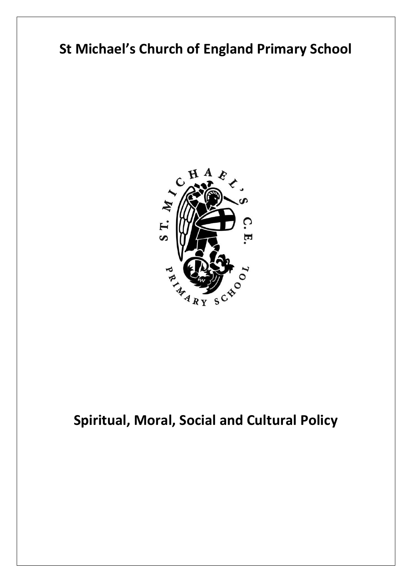# **St Michael's Church of England Primary School**



## **Spiritual, Moral, Social and Cultural Policy**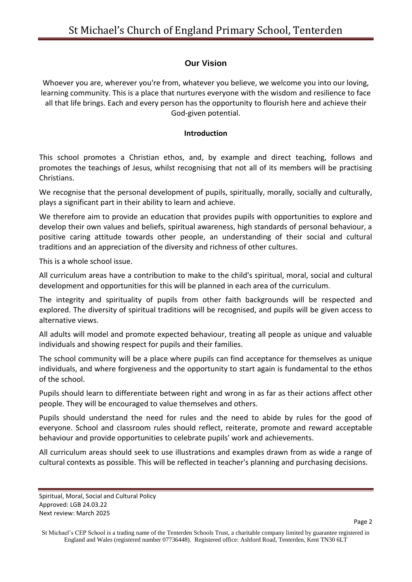## **Our Vision**

Whoever you are, wherever you're from, whatever you believe, we welcome you into our loving, learning community. This is a place that nurtures everyone with the wisdom and resilience to face all that life brings. Each and every person has the opportunity to flourish here and achieve their God-given potential.

#### **Introduction**

This school promotes a Christian ethos, and, by example and direct teaching, follows and promotes the teachings of Jesus, whilst recognising that not all of its members will be practising Christians.

We recognise that the personal development of pupils, spiritually, morally, socially and culturally, plays a significant part in their ability to learn and achieve.

We therefore aim to provide an education that provides pupils with opportunities to explore and develop their own values and beliefs, spiritual awareness, high standards of personal behaviour, a positive caring attitude towards other people, an understanding of their social and cultural traditions and an appreciation of the diversity and richness of other cultures.

This is a whole school issue.

All curriculum areas have a contribution to make to the child's spiritual, moral, social and cultural development and opportunities for this will be planned in each area of the curriculum.

The integrity and spirituality of pupils from other faith backgrounds will be respected and explored. The diversity of spiritual traditions will be recognised, and pupils will be given access to alternative views.

All adults will model and promote expected behaviour, treating all people as unique and valuable individuals and showing respect for pupils and their families.

The school community will be a place where pupils can find acceptance for themselves as unique individuals, and where forgiveness and the opportunity to start again is fundamental to the ethos of the school.

Pupils should learn to differentiate between right and wrong in as far as their actions affect other people. They will be encouraged to value themselves and others.

Pupils should understand the need for rules and the need to abide by rules for the good of everyone. School and classroom rules should reflect, reiterate, promote and reward acceptable behaviour and provide opportunities to celebrate pupils' work and achievements.

All curriculum areas should seek to use illustrations and examples drawn from as wide a range of cultural contexts as possible. This will be reflected in teacher's planning and purchasing decisions.

Spiritual, Moral, Social and Cultural Policy Approved: LGB 24.03.22 Next review: March 2025

St Michael's CEP School is a trading name of the Tenterden Schools Trust, a charitable company limited by guarantee registered in England and Wales (registered number 07736448). Registered office: Ashford Road, Tenterden, Kent TN30 6LT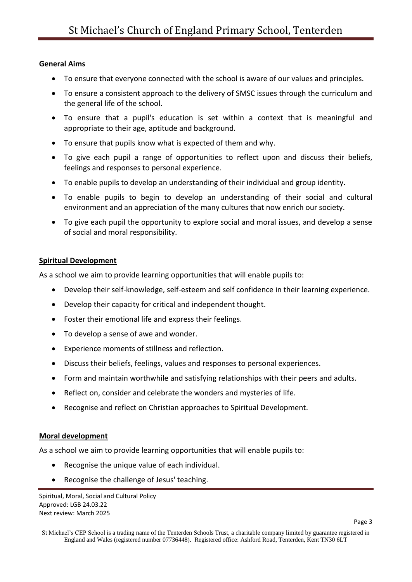#### **General Aims**

- To ensure that everyone connected with the school is aware of our values and principles.
- To ensure a consistent approach to the delivery of SMSC issues through the curriculum and the general life of the school.
- To ensure that a pupil's education is set within a context that is meaningful and appropriate to their age, aptitude and background.
- To ensure that pupils know what is expected of them and why.
- To give each pupil a range of opportunities to reflect upon and discuss their beliefs, feelings and responses to personal experience.
- To enable pupils to develop an understanding of their individual and group identity.
- To enable pupils to begin to develop an understanding of their social and cultural environment and an appreciation of the many cultures that now enrich our society.
- To give each pupil the opportunity to explore social and moral issues, and develop a sense of social and moral responsibility.

## **Spiritual Development**

As a school we aim to provide learning opportunities that will enable pupils to:

- Develop their self-knowledge, self-esteem and self confidence in their learning experience.
- Develop their capacity for critical and independent thought.
- Foster their emotional life and express their feelings.
- To develop a sense of awe and wonder.
- Experience moments of stillness and reflection.
- Discuss their beliefs, feelings, values and responses to personal experiences.
- Form and maintain worthwhile and satisfying relationships with their peers and adults.
- Reflect on, consider and celebrate the wonders and mysteries of life.
- Recognise and reflect on Christian approaches to Spiritual Development.

#### **Moral development**

As a school we aim to provide learning opportunities that will enable pupils to:

- Recognise the unique value of each individual.
- Recognise the challenge of Jesus' teaching.

St Michael's CEP School is a trading name of the Tenterden Schools Trust, a charitable company limited by guarantee registered in England and Wales (registered number 07736448). Registered office: Ashford Road, Tenterden, Kent TN30 6LT

Spiritual, Moral, Social and Cultural Policy Approved: LGB 24.03.22 Next review: March 2025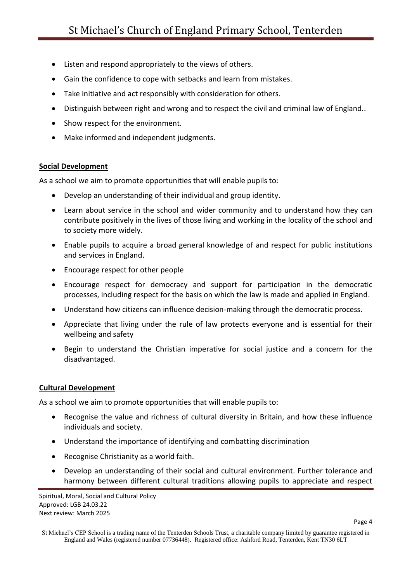- Listen and respond appropriately to the views of others.
- Gain the confidence to cope with setbacks and learn from mistakes.
- Take initiative and act responsibly with consideration for others.
- Distinguish between right and wrong and to respect the civil and criminal law of England..
- Show respect for the environment.
- Make informed and independent judgments.

#### **Social Development**

As a school we aim to promote opportunities that will enable pupils to:

- Develop an understanding of their individual and group identity.
- Learn about service in the school and wider community and to understand how they can contribute positively in the lives of those living and working in the locality of the school and to society more widely.
- Enable pupils to acquire a broad general knowledge of and respect for public institutions and services in England.
- Encourage respect for other people
- Encourage respect for democracy and support for participation in the democratic processes, including respect for the basis on which the law is made and applied in England.
- Understand how citizens can influence decision-making through the democratic process.
- Appreciate that living under the rule of law protects everyone and is essential for their wellbeing and safety
- Begin to understand the Christian imperative for social justice and a concern for the disadvantaged.

## **Cultural Development**

As a school we aim to promote opportunities that will enable pupils to:

- Recognise the value and richness of cultural diversity in Britain, and how these influence individuals and society.
- Understand the importance of identifying and combatting discrimination
- Recognise Christianity as a world faith.
- Develop an understanding of their social and cultural environment. Further tolerance and harmony between different cultural traditions allowing pupils to appreciate and respect

Spiritual, Moral, Social and Cultural Policy Approved: LGB 24.03.22 Next review: March 2025

St Michael's CEP School is a trading name of the Tenterden Schools Trust, a charitable company limited by guarantee registered in England and Wales (registered number 07736448). Registered office: Ashford Road, Tenterden, Kent TN30 6LT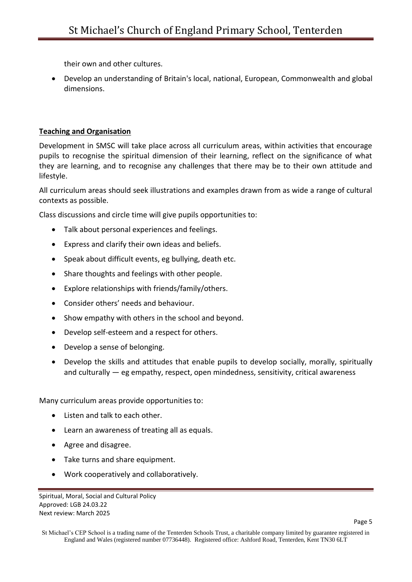their own and other cultures.

 Develop an understanding of Britain's local, national, European, Commonwealth and global dimensions.

## **Teaching and Organisation**

Development in SMSC will take place across all curriculum areas, within activities that encourage pupils to recognise the spiritual dimension of their learning, reflect on the significance of what they are learning, and to recognise any challenges that there may be to their own attitude and lifestyle.

All curriculum areas should seek illustrations and examples drawn from as wide a range of cultural contexts as possible.

Class discussions and circle time will give pupils opportunities to:

- Talk about personal experiences and feelings.
- Express and clarify their own ideas and beliefs.
- Speak about difficult events, eg bullying, death etc.
- Share thoughts and feelings with other people.
- Explore relationships with friends/family/others.
- Consider others' needs and behaviour.
- Show empathy with others in the school and beyond.
- Develop self-esteem and a respect for others.
- Develop a sense of belonging.
- Develop the skills and attitudes that enable pupils to develop socially, morally, spiritually and culturally — eg empathy, respect, open mindedness, sensitivity, critical awareness

Many curriculum areas provide opportunities to:

- Listen and talk to each other.
- Learn an awareness of treating all as equals.
- Agree and disagree.
- Take turns and share equipment.
- Work cooperatively and collaboratively.

Spiritual, Moral, Social and Cultural Policy Approved: LGB 24.03.22 Next review: March 2025

St Michael's CEP School is a trading name of the Tenterden Schools Trust, a charitable company limited by guarantee registered in England and Wales (registered number 07736448). Registered office: Ashford Road, Tenterden, Kent TN30 6LT